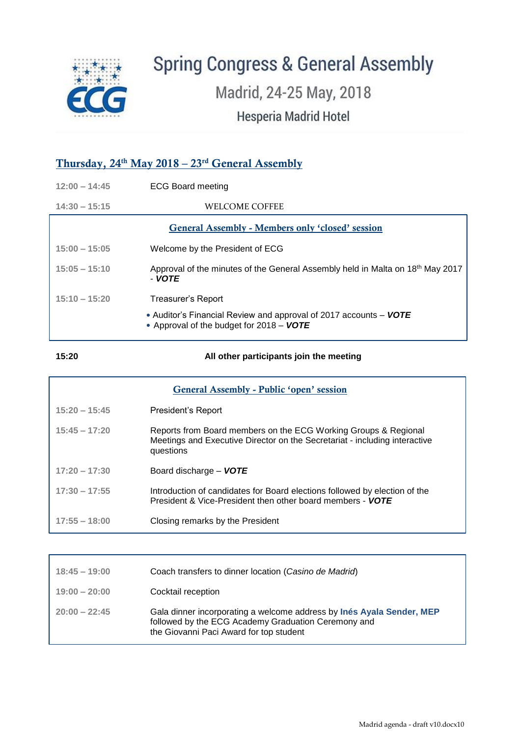

# **Spring Congress & General Assembly**

Madrid, 24-25 May, 2018

Hesperia Madrid Hotel

# Thursday, 24<sup>th</sup> May 2018 – 23<sup>rd</sup> General Assembly

| $12:00 - 14:45$ | <b>ECG Board meeting</b>                                                                                      |
|-----------------|---------------------------------------------------------------------------------------------------------------|
| $14:30 - 15:15$ | WELCOME COFFEE                                                                                                |
|                 | <b>General Assembly - Members only 'closed' session</b>                                                       |
| $15:00 - 15:05$ | Welcome by the President of ECG                                                                               |
| $15:05 - 15:10$ | Approval of the minutes of the General Assembly held in Malta on 18th May 2017<br>- VOTE                      |
| $15:10 - 15:20$ | Treasurer's Report                                                                                            |
|                 | • Auditor's Financial Review and approval of 2017 accounts – VOTE<br>• Approval of the budget for 2018 - VOTE |

#### **15:20 All other participants join the meeting**

| <b>General Assembly - Public 'open' session</b> |                                                                                                                                                            |  |
|-------------------------------------------------|------------------------------------------------------------------------------------------------------------------------------------------------------------|--|
| $15:20 - 15:45$                                 | President's Report                                                                                                                                         |  |
| $15:45 - 17:20$                                 | Reports from Board members on the ECG Working Groups & Regional<br>Meetings and Executive Director on the Secretariat - including interactive<br>questions |  |
| $17:20 - 17:30$                                 | Board discharge - VOTE                                                                                                                                     |  |
| $17:30 - 17:55$                                 | Introduction of candidates for Board elections followed by election of the<br>President & Vice-President then other board members - VOTE                   |  |
| $17:55 - 18:00$                                 | Closing remarks by the President                                                                                                                           |  |

| $18:45 - 19:00$ | Coach transfers to dinner location (Casino de Madrid)                                                                                                                   |
|-----------------|-------------------------------------------------------------------------------------------------------------------------------------------------------------------------|
| $19:00 - 20:00$ | Cocktail reception                                                                                                                                                      |
| $20:00 - 22:45$ | Gala dinner incorporating a welcome address by Inés Ayala Sender, MEP<br>followed by the ECG Academy Graduation Ceremony and<br>the Giovanni Paci Award for top student |